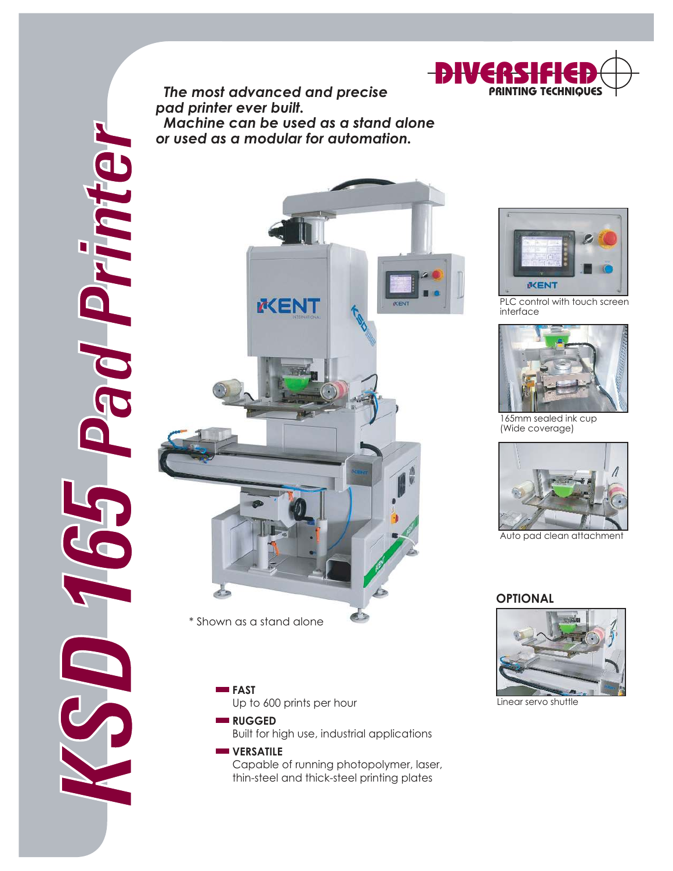

 *The most advanced and precise pad printer ever built. Machine can be used as a stand alone or used as a modular for automation.*



\* Shown as a stand alone



Built for high use, industrial applications

## **WERSATILE** Capable of running photopolymer, laser, thin-steel and thick-steel printing plates



PLC control with touch screen interface



165mm sealed ink cup (Wide coverage)



Auto pad clean attachment

## **OPTIONAL**



Linear servo shuttle